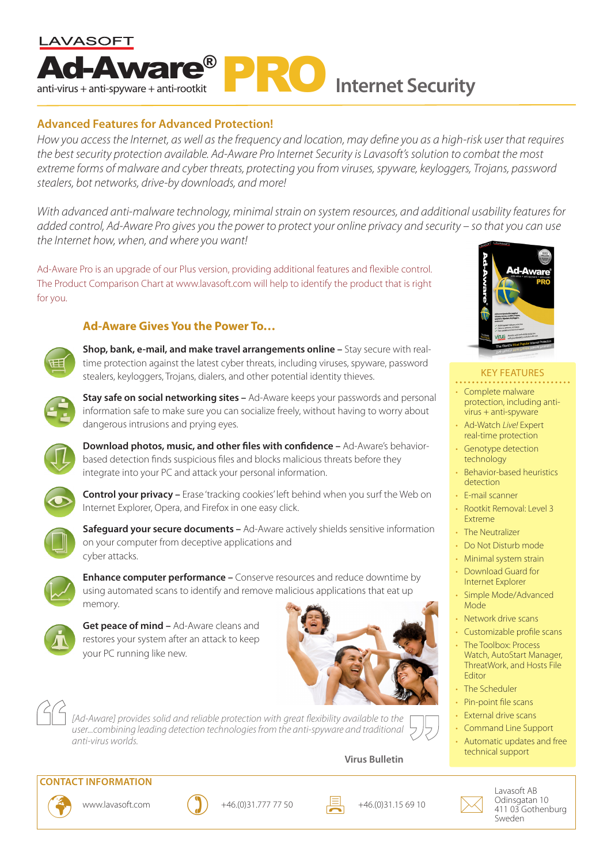

# **Advanced Features for Advanced Protection!**

*How you access the Internet, as well as the frequency and location, may define you as a high-risk user that requires the best security protection available. Ad-Aware Pro Internet Security is Lavasoft's solution to combat the most extreme forms of malware and cyber threats, protecting you from viruses, spyware, keyloggers, Trojans, password stealers, bot networks, drive-by downloads, and more!*

*With advanced anti-malware technology, minimal strain on system resources, and additional usability features for added control, Ad-Aware Pro gives you the power to protect your online privacy and security – so that you can use the Internet how, when, and where you want!*

Ad-Aware Pro is an upgrade of our Plus version, providing additional features and flexible control. The Product Comparison Chart at www.lavasoft.com will help to identify the product that is right for you.

## **Ad-Aware Gives You the Power To…**



**Shop, bank, e-mail, and make travel arrangements online –** Stay secure with realtime protection against the latest cyber threats, including viruses, spyware, password stealers, keyloggers, Trojans, dialers, and other potential identity thieves.



**Stay safe on social networking sites –** Ad-Aware keeps your passwords and personal information safe to make sure you can socialize freely, without having to worry about dangerous intrusions and prying eyes.



**Download photos, music, and other files with confidence –** Ad-Aware's behaviorbased detection finds suspicious files and blocks malicious threats before they integrate into your PC and attack your personal information.



**Control your privacy –** Erase 'tracking cookies' left behind when you surf the Web on Internet Explorer, Opera, and Firefox in one easy click.



**Safeguard your secure documents –** Ad-Aware actively shields sensitive information on your computer from deceptive applications and cyber attacks.



**Enhance computer performance –** Conserve resources and reduce downtime by using automated scans to identify and remove malicious applications that eat up memory.



**Get peace of mind –** Ad-Aware cleans and restores your system after an attack to keep your PC running like new.





*[Ad-Aware] provides solid and reliable protection with great flexibility available to the user...combining leading detection technologies from the anti-spyware and traditional anti-virus worlds.*

## **Virus Bulletin**



### KEY FEATURES

- Complete malware protection, including antivirus + anti-spyware
- Ad-Watch *Live!* Expert real-time protection
- Genotype detection technology
- Behavior-based heuristics detection
- E-mail scanner
- Rootkit Removal: Level 3 Extreme
- The Neutralizer
- Do Not Disturb mode
- Minimal system strain
- Download Guard for Internet Explorer
- Simple Mode/Advanced Mode
- Network drive scans
- Customizable profile scans
- The Toolbox: Process Watch, AutoStart Manager, ThreatWork, and Hosts File Editor
- The Scheduler
- Pin-point file scans
- **External drive scans**
- Command Line Support
- Automatic updates and free technical support



**CONTACT INFORMATION**





www.lavasoft.com  $\bigcirc$  +46.(0)31.777 77 50  $\Box$  +46.(0)31.15 69 10



Lavasoft AB Odinsgatan 10 411 03 Gothenburg Sweden